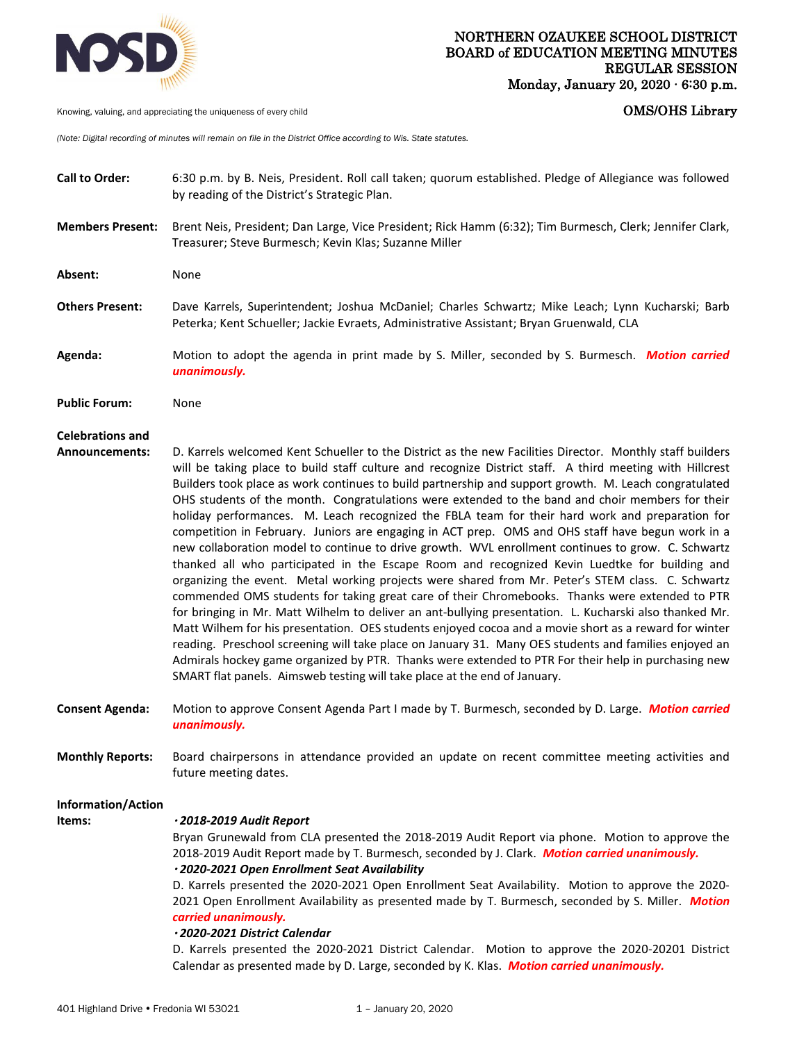

Knowing, valuing, and appreciating the uniqueness of every child **COMS COMS COMS COMS COMS COMS** 

*(Note: Digital recording of minutes will remain on file in the District Office according to Wis. State statutes.* 

**Call to Order:** 6:30 p.m. by B. Neis, President. Roll call taken; quorum established. Pledge of Allegiance was followed by reading of the District's Strategic Plan. **Members Present:** Brent Neis, President; Dan Large, Vice President; Rick Hamm (6:32); Tim Burmesch, Clerk; Jennifer Clark, Treasurer; Steve Burmesch; Kevin Klas; Suzanne Miller **Absent:** None **Others Present:** Dave Karrels, Superintendent; Joshua McDaniel; Charles Schwartz; Mike Leach; Lynn Kucharski; Barb Peterka; Kent Schueller; Jackie Evraets, Administrative Assistant; Bryan Gruenwald, CLA **Agenda:** Motion to adopt the agenda in print made by S. Miller, seconded by S. Burmesch. *Motion carried unanimously.*  **Public Forum:** None **Celebrations and Announcements:** D. Karrels welcomed Kent Schueller to the District as the new Facilities Director. Monthly staff builders will be taking place to build staff culture and recognize District staff. A third meeting with Hillcrest Builders took place as work continues to build partnership and support growth. M. Leach congratulated OHS students of the month. Congratulations were extended to the band and choir members for their holiday performances. M. Leach recognized the FBLA team for their hard work and preparation for competition in February. Juniors are engaging in ACT prep. OMS and OHS staff have begun work in a new collaboration model to continue to drive growth. WVL enrollment continues to grow. C. Schwartz thanked all who participated in the Escape Room and recognized Kevin Luedtke for building and organizing the event. Metal working projects were shared from Mr. Peter's STEM class. C. Schwartz commended OMS students for taking great care of their Chromebooks. Thanks were extended to PTR for bringing in Mr. Matt Wilhelm to deliver an ant-bullying presentation. L. Kucharski also thanked Mr. Matt Wilhem for his presentation. OES students enjoyed cocoa and a movie short as a reward for winter reading. Preschool screening will take place on January 31. Many OES students and families enjoyed an Admirals hockey game organized by PTR. Thanks were extended to PTR For their help in purchasing new SMART flat panels. Aimsweb testing will take place at the end of January. **Consent Agenda:** Motion to approve Consent Agenda Part I made by T. Burmesch, seconded by D. Large. *Motion carried unanimously.*  **Monthly Reports:** Board chairpersons in attendance provided an update on recent committee meeting activities and future meeting dates. **Information/Action Items:** *2018-2019 Audit Report* Bryan Grunewald from CLA presented the 2018-2019 Audit Report via phone. Motion to approve the 2018-2019 Audit Report made by T. Burmesch, seconded by J. Clark. *Motion carried unanimously. 2020-2021 Open Enrollment Seat Availability*  D. Karrels presented the 2020-2021 Open Enrollment Seat Availability. Motion to approve the 2020- 2021 Open Enrollment Availability as presented made by T. Burmesch, seconded by S. Miller. *Motion carried unanimously. 2020-2021 District Calendar* D. Karrels presented the 2020-2021 District Calendar. Motion to approve the 2020-20201 District Calendar as presented made by D. Large, seconded by K. Klas. *Motion carried unanimously.*